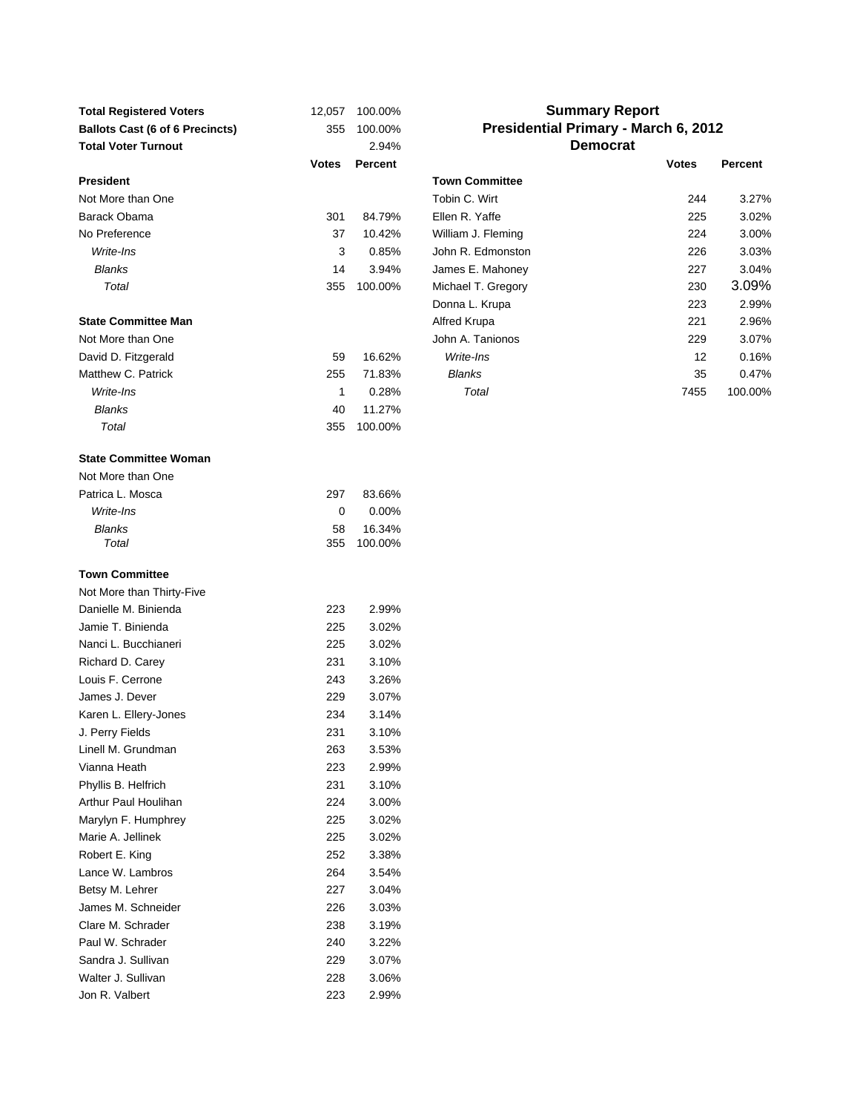| <b>Total Registered Voters</b>         | 12,057       | 100.00%        |                       | <b>Summary Report</b>                |         |
|----------------------------------------|--------------|----------------|-----------------------|--------------------------------------|---------|
| <b>Ballots Cast (6 of 6 Precincts)</b> | 355          | 100.00%        |                       | Presidential Primary - March 6, 2012 |         |
| <b>Total Voter Turnout</b>             |              | 2.94%          |                       | <b>Democrat</b>                      |         |
|                                        | <b>Votes</b> | <b>Percent</b> |                       | <b>Votes</b>                         | Percent |
| <b>President</b>                       |              |                | <b>Town Committee</b> |                                      |         |
| Not More than One                      |              |                | Tobin C. Wirt         | 244                                  | 3.27%   |
| Barack Obama                           | 301          | 84.79%         | Ellen R. Yaffe        | 225                                  | 3.02%   |
| No Preference                          | 37           | 10.42%         | William J. Fleming    | 224                                  | 3.00%   |
| Write-Ins                              | 3            | 0.85%          | John R. Edmonston     | 226                                  | 3.03%   |
| <b>Blanks</b>                          | 14           | 3.94%          | James E. Mahoney      | 227                                  | 3.04%   |
| Total                                  | 355          | 100.00%        | Michael T. Gregory    | 230                                  | 3.09%   |
|                                        |              |                | Donna L. Krupa        | 223                                  | 2.99%   |
| <b>State Committee Man</b>             |              |                | Alfred Krupa          | 221                                  | 2.96%   |
| Not More than One                      |              |                | John A. Tanionos      | 229                                  | 3.07%   |
| David D. Fitzgerald                    | 59           | 16.62%         | Write-Ins             | 12                                   | 0.16%   |
| Matthew C. Patrick                     | 255          | 71.83%         | <b>Blanks</b>         | 35                                   | 0.47%   |
| Write-Ins                              | 1            | 0.28%          | Total                 | 7455                                 | 100.00% |
| <b>Blanks</b>                          | 40           | 11.27%         |                       |                                      |         |
| Total                                  | 355          | 100.00%        |                       |                                      |         |
|                                        |              |                |                       |                                      |         |
| <b>State Committee Woman</b>           |              |                |                       |                                      |         |
| Not More than One                      |              |                |                       |                                      |         |
| Patrica L. Mosca                       | 297          | 83.66%         |                       |                                      |         |
| Write-Ins                              | 0            | 0.00%          |                       |                                      |         |
| <b>Blanks</b>                          | 58           | 16.34%         |                       |                                      |         |
| Total                                  | 355          | 100.00%        |                       |                                      |         |
| <b>Town Committee</b>                  |              |                |                       |                                      |         |
| Not More than Thirty-Five              |              |                |                       |                                      |         |
| Danielle M. Binienda                   | 223          | 2.99%          |                       |                                      |         |
| Jamie T. Binienda                      | 225          | 3.02%          |                       |                                      |         |
| Nanci L. Bucchianeri                   | 225          | 3.02%          |                       |                                      |         |
| Richard D. Carey                       | 231          | 3.10%          |                       |                                      |         |
| Louis F. Cerrone                       | 243          | 3.26%          |                       |                                      |         |
| James J. Dever                         | 229          | 3.07%          |                       |                                      |         |
| Karen L. Ellery-Jones                  | 234          | 3.14%          |                       |                                      |         |
| J. Perry Fields                        | 231          | 3.10%          |                       |                                      |         |
| Linell M. Grundman                     | 263          | 3.53%          |                       |                                      |         |
| Vianna Heath                           | 223          | 2.99%          |                       |                                      |         |
| Phyllis B. Helfrich                    | 231          | 3.10%          |                       |                                      |         |
| Arthur Paul Houlihan                   | 224          | 3.00%          |                       |                                      |         |
| Marylyn F. Humphrey                    | 225          | 3.02%          |                       |                                      |         |
| Marie A. Jellinek                      | 225          | 3.02%          |                       |                                      |         |
| Robert E. King                         | 252          | 3.38%          |                       |                                      |         |
| Lance W. Lambros                       | 264          | 3.54%          |                       |                                      |         |
| Betsy M. Lehrer                        | 227          | 3.04%          |                       |                                      |         |
| James M. Schneider                     | 226          | 3.03%          |                       |                                      |         |
| Clare M. Schrader                      | 238          | 3.19%          |                       |                                      |         |
| Paul W. Schrader                       | 240          | 3.22%          |                       |                                      |         |
| Sandra J. Sullivan                     | 229          | 3.07%          |                       |                                      |         |
| Walter J. Sullivan                     | 228          | 3.06%          |                       |                                      |         |
| Jon R. Valbert                         | 223          | 2.99%          |                       |                                      |         |
|                                        |              |                |                       |                                      |         |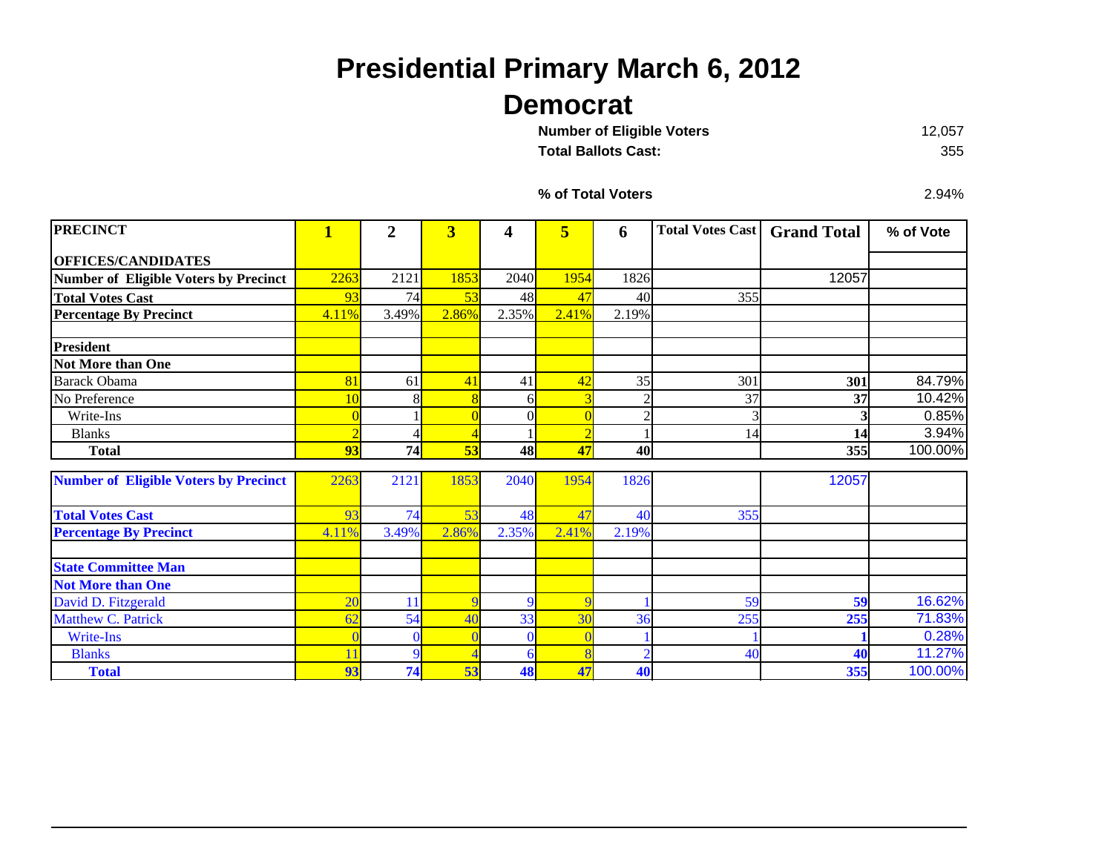## **Presidential Primary March 6, 2012 Democrat**

| <b>Number of Eligible Voters</b> | 12.057 |
|----------------------------------|--------|
| <b>Total Ballots Cast:</b>       | 355    |

**Total Ballots Cast:**

**% of Total Voters**

2.94%

| <b>PRECINCT</b>                              | $\mathbf{1}$   | $\overline{2}$ | $\overline{\mathbf{3}}$ | 4                | 5              | 6              | <b>Total Votes Cast   Grand Total</b> |       | % of Vote |
|----------------------------------------------|----------------|----------------|-------------------------|------------------|----------------|----------------|---------------------------------------|-------|-----------|
| <b>OFFICES/CANDIDATES</b>                    |                |                |                         |                  |                |                |                                       |       |           |
| <b>Number of Eligible Voters by Precinct</b> | 2263           | 2121           | 1853                    | 2040             | 1954           | 1826           |                                       | 12057 |           |
| <b>Total Votes Cast</b>                      | 93             | 74             | 53                      | 48               | 47             | 40             | 355                                   |       |           |
| <b>Percentage By Precinct</b>                | 4.11%          | 3.49%          | 2.86%                   | 2.35%            | 2.41%          | 2.19%          |                                       |       |           |
| <b>President</b>                             |                |                |                         |                  |                |                |                                       |       |           |
| Not More than One                            |                |                |                         |                  |                |                |                                       |       |           |
| <b>Barack Obama</b>                          | 81             | 61             | 41                      | 41               | 42             | 35             | 301                                   | 301   | 84.79%    |
| No Preference                                | 10             |                | 8                       | 61               |                | $\overline{2}$ | 37                                    | 37    | 10.42%    |
| Write-Ins                                    |                |                | $\overline{0}$          | $\Omega$         |                | $\overline{2}$ |                                       |       | 0.85%     |
| <b>Blanks</b>                                |                |                | $\overline{A}$          |                  |                |                | 14                                    | 14    | 3.94%     |
| <b>Total</b>                                 | 93             | 74             | 53                      | 48               | 47             | 40             |                                       | 355   | 100.00%   |
| <b>Number of Eligible Voters by Precinct</b> | 2263           | 2121           | 1853                    | 2040             | 1954           | 1826           |                                       | 12057 |           |
| <b>Total Votes Cast</b>                      | 93             | 74             | 53                      | 48               | 47             | 40             | 355                                   |       |           |
| <b>Percentage By Precinct</b>                | 4.11%          | 3.49%          | 2.86%                   | 2.35%            | 2.41%          | 2.19%          |                                       |       |           |
| <b>State Committee Man</b>                   |                |                |                         |                  |                |                |                                       |       |           |
| <b>Not More than One</b>                     |                |                |                         |                  |                |                |                                       |       |           |
| David D. Fitzgerald                          | 2 <sub>0</sub> | 11             | 9                       | $\boldsymbol{Q}$ |                |                | 59                                    | 59    | 16.62%    |
| Matthew C. Patrick                           | 62             | 54             | 40                      | 33               | 3 <sup>0</sup> | 36             | 255                                   | 255   | 71.83%    |
| Write-Ins                                    |                |                | $\sqrt{ }$              | $\Omega$         |                |                |                                       |       | 0.28%     |
| <b>Blanks</b>                                | 11             |                |                         | 6                |                | $\overline{2}$ | 40                                    | 40    | 11.27%    |
| <b>Total</b>                                 | 93             | 74             | 53                      | 48               | 47             | 40             |                                       | 355   | 100.00%   |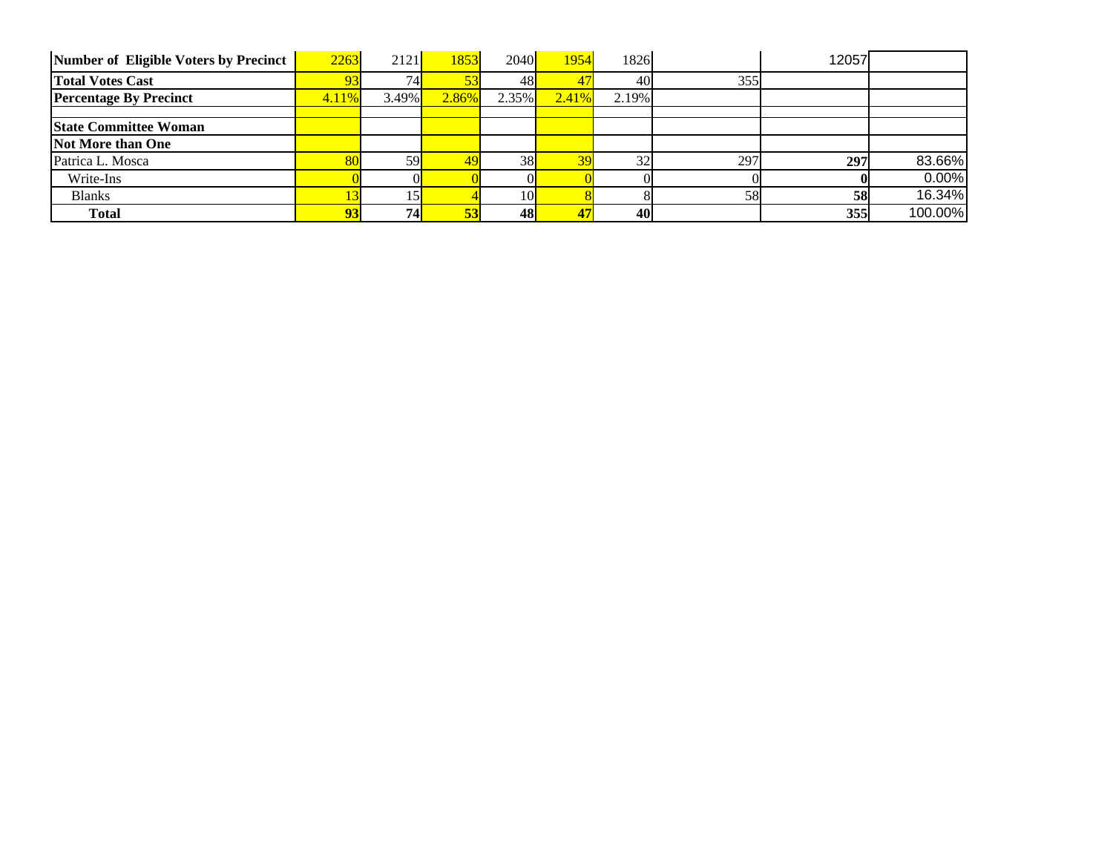| Number of Eligible Voters by Precinct | 2263  | 2121            | 1853  | 2040  | 1954  | 1826  |     | 12057 |         |
|---------------------------------------|-------|-----------------|-------|-------|-------|-------|-----|-------|---------|
| <b>Total Votes Cast</b>               | 93    | 74 <sub>h</sub> | 53    | 48    |       | 40    | 355 |       |         |
| <b>Percentage By Precinct</b>         | 4.11% | 3.49%           | 2.86% | 2.35% | 2.41% | 2.19% |     |       |         |
|                                       |       |                 |       |       |       |       |     |       |         |
| <b>State Committee Woman</b>          |       |                 |       |       |       |       |     |       |         |
| Not More than One                     |       |                 |       |       |       |       |     |       |         |
| Patrica L. Mosca                      | 80    | 59              | 49    | 38    |       | 32    | 297 | 297   | 83.66%  |
| Write-Ins                             |       |                 |       |       |       |       |     |       | 0.00%   |
| <b>Blanks</b>                         |       |                 |       | 10I   |       |       | 58  | 58    | 16.34%  |
| <b>Total</b>                          | 93    | 74              | 53    | 48    | 47    | 40    |     | 355   | 100.00% |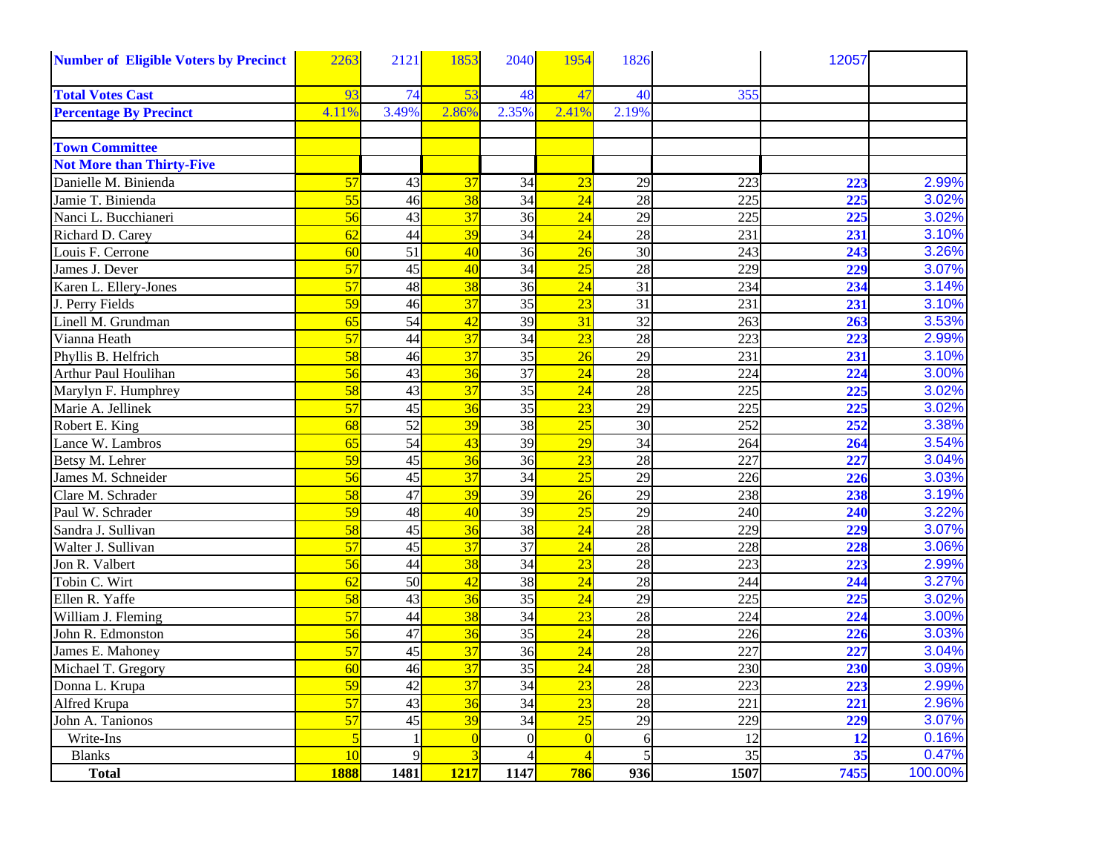| <b>Number of Eligible Voters by Precinct</b> | 2263            | 2121            | 1853            | 2040            | 1954            | 1826            |                  | 12057 |         |
|----------------------------------------------|-----------------|-----------------|-----------------|-----------------|-----------------|-----------------|------------------|-------|---------|
| <b>Total Votes Cast</b>                      | 93              | 74              | 53              | 48              | 47              | 40              | 355              |       |         |
| <b>Percentage By Precinct</b>                | 4.11%           | 3.49%           | 2.86%           | 2.35%           | 2.41%           | 2.19%           |                  |       |         |
|                                              |                 |                 |                 |                 |                 |                 |                  |       |         |
| <b>Town Committee</b>                        |                 |                 |                 |                 |                 |                 |                  |       |         |
| <b>Not More than Thirty-Five</b>             |                 |                 |                 |                 |                 |                 |                  |       |         |
| Danielle M. Binienda                         | 57              | 43              | 37              | 34              | 23              | 29              | 223              | 223   | 2.99%   |
| Jamie T. Binienda                            | $\overline{55}$ | 46              | 38              | 34              | $\overline{24}$ | 28              | 225              | 225   | 3.02%   |
| Nanci L. Bucchianeri                         | $\overline{56}$ | $\overline{43}$ | $\overline{37}$ | 36              | $\overline{24}$ | 29              | 225              | 225   | 3.02%   |
| Richard D. Carey                             | 62              | 44              | $\overline{39}$ | 34              | $\overline{24}$ | 28              | 231              | 231   | 3.10%   |
| Louis F. Cerrone                             | 60              | 51              | 40              | 36              | $\overline{26}$ | 30              | 243              | 243   | 3.26%   |
| James J. Dever                               | 57              | 45              | 40              | $\overline{34}$ | 25              | 28              | 229              | 229   | 3.07%   |
| Karen L. Ellery-Jones                        | 57              | 48              | 38              | 36              | $\overline{24}$ | 31              | 234              | 234   | 3.14%   |
| J. Perry Fields                              | 59              | 46              | 37              | $\overline{35}$ | $\overline{23}$ | $\overline{31}$ | 231              | 231   | 3.10%   |
| Linell M. Grundman                           | 65              | 54              | 42              | 39              | 31              | 32              | 263              | 263   | 3.53%   |
| Vianna Heath                                 | 57              | 44              | 37              | 34              | $\overline{23}$ | 28              | 223              | 223   | 2.99%   |
| Phyllis B. Helfrich                          | 58              | 46              | $\overline{37}$ | 35              | $\overline{26}$ | 29              | 231              | 231   | 3.10%   |
| Arthur Paul Houlihan                         | $\overline{56}$ | 43              | $\overline{36}$ | $\overline{37}$ | $\overline{24}$ | 28              | 224              | 224   | 3.00%   |
| Marylyn F. Humphrey                          | 58              | 43              | $\overline{37}$ | $\overline{35}$ | $\overline{24}$ | 28              | 225              | 225   | 3.02%   |
| Marie A. Jellinek                            | 57              | 45              | 36              | $\overline{35}$ | $\overline{23}$ | 29              | 225              | 225   | 3.02%   |
| Robert E. King                               | 68              | 52              | 39              | 38              | 25              | 30              | 252              | 252   | 3.38%   |
| Lance W. Lambros                             | 65              | $\overline{54}$ | $\overline{43}$ | 39              | $\overline{29}$ | $\overline{34}$ | 264              | 264   | 3.54%   |
| Betsy M. Lehrer                              | 59              | 45              | 36              | $\overline{36}$ | $\overline{23}$ | 28              | 227              | 227   | 3.04%   |
| James M. Schneider                           | $\overline{56}$ | 45              | $\overline{37}$ | 34              | $\overline{25}$ | $\overline{29}$ | $\overline{226}$ | 226   | 3.03%   |
| Clare M. Schrader                            | 58              | 47              | 39              | $\overline{39}$ | $\overline{26}$ | 29              | 238              | 238   | 3.19%   |
| Paul W. Schrader                             | 59              | 48              | $\overline{40}$ | 39              | $\overline{25}$ | 29              | 240              | 240   | 3.22%   |
| Sandra J. Sullivan                           | 58              | 45              | $\overline{36}$ | 38              | $\overline{24}$ | 28              | 229              | 229   | 3.07%   |
| Walter J. Sullivan                           | 57              | $\overline{45}$ | 37              | 37              | $\overline{24}$ | 28              | 228              | 228   | 3.06%   |
| Jon R. Valbert                               | 56              | 44              | 38              | 34              | $\overline{23}$ | 28              | 223              | 223   | 2.99%   |
| Tobin C. Wirt                                | 62              | 50              | 42              | 38              | $\overline{24}$ | 28              | 244              | 244   | 3.27%   |
| Ellen R. Yaffe                               | 58              | 43              | 36              | $\overline{35}$ | $\overline{24}$ | 29              | 225              | 225   | 3.02%   |
| William J. Fleming                           | 57              | 44              | $\overline{38}$ | $\overline{34}$ | $\overline{23}$ | $\overline{28}$ | 224              | 224   | 3.00%   |
| John R. Edmonston                            | 56              | 47              | 36              | 35              | $\overline{24}$ | 28              | 226              | 226   | 3.03%   |
| James E. Mahoney                             | 57              | 45              | 37              | 36              | $\overline{24}$ | 28              | 227              | 227   | 3.04%   |
| Michael T. Gregory                           | 60              | 46              | $\overline{37}$ | 35              | $\overline{24}$ | 28              | 230              | 230   | 3.09%   |
| Donna L. Krupa                               | 59              | 42              | 37              | 34              | $\overline{23}$ | 28              | 223              | 223   | 2.99%   |
| Alfred Krupa                                 | $\overline{57}$ | 43              | $\overline{36}$ | 34              | $\overline{23}$ | 28              | 221              | 221   | 2.96%   |
| John A. Tanionos                             | 57              | 45              | 39              | 34              | 25              | 29              | 229              | 229   | 3.07%   |
| Write-Ins                                    |                 |                 | $\overline{0}$  | $\overline{0}$  | $\sqrt{ }$      | 6               | 12               | 12    | 0.16%   |
| <b>Blanks</b>                                | 10              |                 | $\overline{3}$  | 4               |                 | 5               | 35               | 35    | 0.47%   |
| <b>Total</b>                                 | <b>1888</b>     | 1481            | 1217            | 1147            | 786             | 936             | 1507             | 7455  | 100.00% |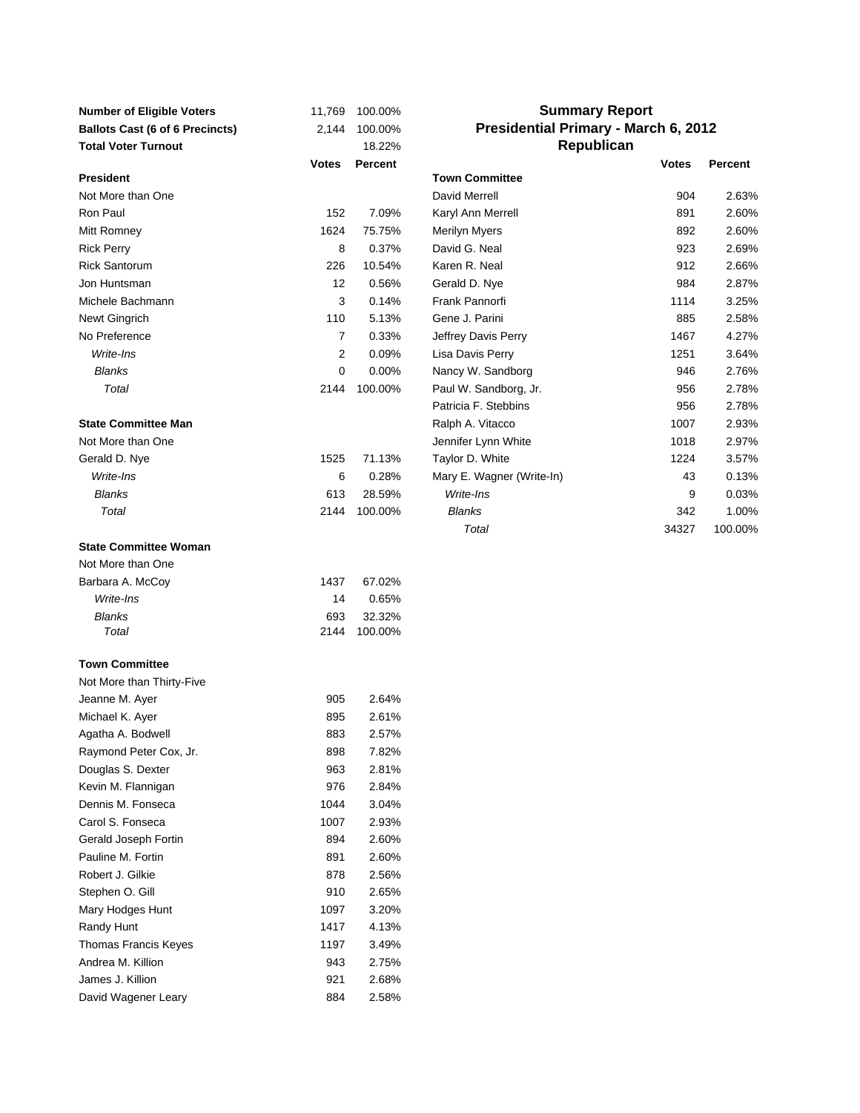| <b>Number of Eligible Voters</b>       | 11,769         | 100.00% | <b>Summary Report</b>                |              |         |
|----------------------------------------|----------------|---------|--------------------------------------|--------------|---------|
| <b>Ballots Cast (6 of 6 Precincts)</b> | 2,144          | 100.00% | Presidential Primary - March 6, 2012 |              |         |
| <b>Total Voter Turnout</b>             |                | 18.22%  | Republican                           |              |         |
|                                        | Votes          | Percent |                                      | <b>Votes</b> | Percent |
| <b>President</b>                       |                |         | <b>Town Committee</b>                |              |         |
| Not More than One                      |                |         | David Merrell                        | 904          | 2.63%   |
| Ron Paul                               | 152            | 7.09%   | Karyl Ann Merrell                    | 891          | 2.60%   |
| Mitt Romney                            | 1624           | 75.75%  | Merilyn Myers                        | 892          | 2.60%   |
| <b>Rick Perry</b>                      | 8              | 0.37%   | David G. Neal                        | 923          | 2.69%   |
| <b>Rick Santorum</b>                   | 226            | 10.54%  | Karen R. Neal                        | 912          | 2.66%   |
| Jon Huntsman                           | 12             | 0.56%   | Gerald D. Nye                        | 984          | 2.87%   |
| Michele Bachmann                       | 3              | 0.14%   | Frank Pannorfi                       | 1114         | 3.25%   |
| Newt Gingrich                          | 110            | 5.13%   | Gene J. Parini                       | 885          | 2.58%   |
| No Preference                          | $\overline{7}$ | 0.33%   | Jeffrey Davis Perry                  | 1467         | 4.27%   |
| Write-Ins                              | $\overline{2}$ | 0.09%   | Lisa Davis Perry                     | 1251         | 3.64%   |
| <b>Blanks</b>                          | 0              | 0.00%   | Nancy W. Sandborg                    | 946          | 2.76%   |
| Total                                  | 2144           | 100.00% | Paul W. Sandborg, Jr.                | 956          | 2.78%   |
|                                        |                |         | Patricia F. Stebbins                 | 956          | 2.78%   |
| <b>State Committee Man</b>             |                |         | Ralph A. Vitacco                     | 1007         | 2.93%   |
| Not More than One                      |                |         | Jennifer Lynn White                  | 1018         | 2.97%   |
| Gerald D. Nye                          | 1525           | 71.13%  | Taylor D. White                      | 1224         | 3.57%   |
| Write-Ins                              | 6              | 0.28%   | Mary E. Wagner (Write-In)            | 43           | 0.13%   |
| <b>Blanks</b>                          | 613            | 28.59%  | Write-Ins                            | 9            | 0.03%   |
| Total                                  | 2144           | 100.00% | <b>Blanks</b>                        | 342          | 1.00%   |
|                                        |                |         | Total                                | 34327        | 100.00% |
| <b>State Committee Woman</b>           |                |         |                                      |              |         |
| Not More than One                      |                |         |                                      |              |         |
| Barbara A. McCoy                       | 1437           | 67.02%  |                                      |              |         |
| Write-Ins                              | 14             | 0.65%   |                                      |              |         |
| <b>Blanks</b>                          | 693            | 32.32%  |                                      |              |         |
| Total                                  | 2144           | 100.00% |                                      |              |         |
|                                        |                |         |                                      |              |         |
| <b>Town Committee</b>                  |                |         |                                      |              |         |
| Not More than Thirty-Five              |                |         |                                      |              |         |
| Jeanne M. Ayer                         | 905            | 2.64%   |                                      |              |         |
| Michael K. Ayer                        | 895            | 2.61%   |                                      |              |         |
| Agatha A. Bodwell                      | 883            | 2.57%   |                                      |              |         |
| Raymond Peter Cox, Jr.                 | 898            | 7.82%   |                                      |              |         |
| Douglas S. Dexter                      | 963            | 2.81%   |                                      |              |         |
| Kevin M. Flannigan                     | 976            | 2.84%   |                                      |              |         |
| Dennis M. Fonseca                      | 1044           | 3.04%   |                                      |              |         |
| Carol S. Fonseca                       | 1007           | 2.93%   |                                      |              |         |
| Gerald Joseph Fortin                   | 894            | 2.60%   |                                      |              |         |
| Pauline M. Fortin                      | 891            | 2.60%   |                                      |              |         |
| Robert J. Gilkie                       | 878            | 2.56%   |                                      |              |         |
| Stephen O. Gill                        | 910            | 2.65%   |                                      |              |         |
| Mary Hodges Hunt                       | 1097           | 3.20%   |                                      |              |         |
| Randy Hunt                             | 1417           | 4.13%   |                                      |              |         |
| Thomas Francis Keyes                   | 1197           | 3.49%   |                                      |              |         |
| Andrea M. Killion                      | 943            | 2.75%   |                                      |              |         |
| James J. Killion                       | 921            | 2.68%   |                                      |              |         |
| David Wagener Leary                    | 884            | 2.58%   |                                      |              |         |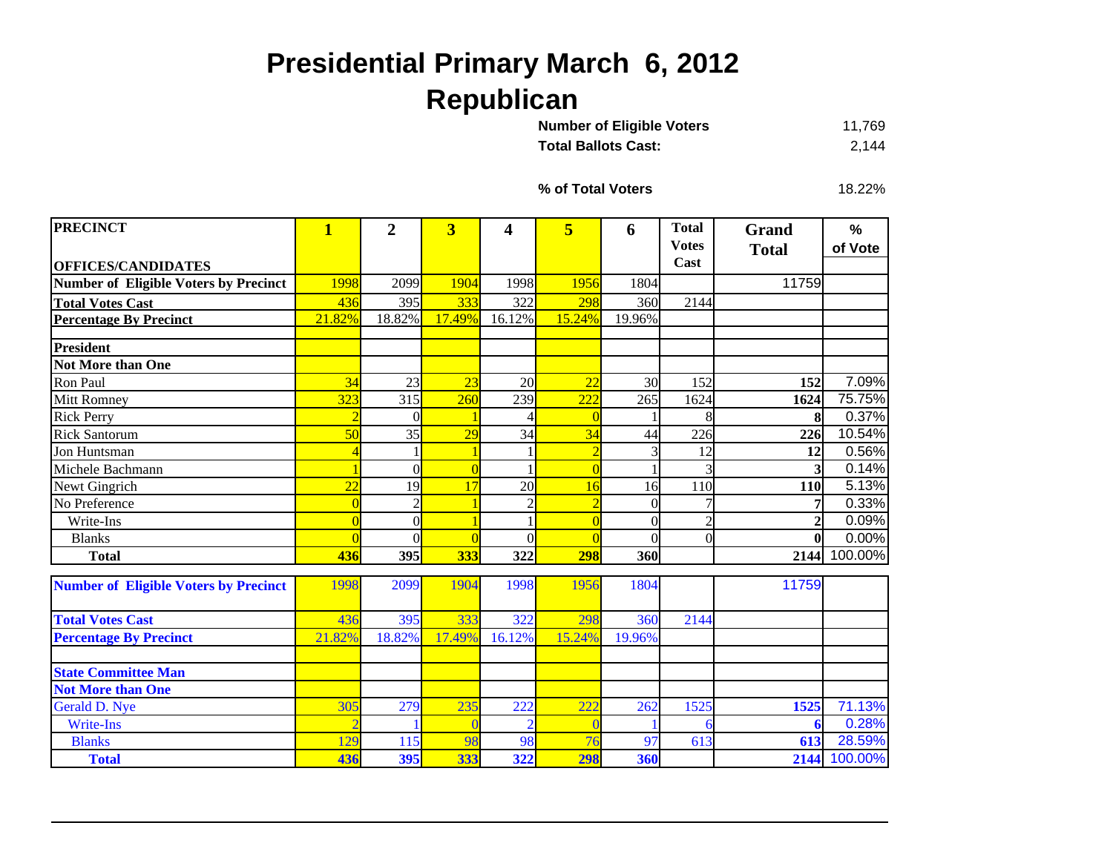## **Presidential Primary March 6, 2012 Republican**

| <b>Number of Eligible Voters</b> | 11,769 |
|----------------------------------|--------|
| <b>Total Ballots Cast:</b>       | 2.144  |

**% of Total Voters**

18.22%

| <b>PRECINCT</b>                              | $\overline{\mathbf{1}}$ | $\overline{2}$ | $\overline{\mathbf{3}}$ | 4              | 5               | 6        | <b>Total</b>   | Grand          | %       |
|----------------------------------------------|-------------------------|----------------|-------------------------|----------------|-----------------|----------|----------------|----------------|---------|
|                                              |                         |                |                         |                |                 |          | <b>Votes</b>   | <b>Total</b>   | of Vote |
| <b>OFFICES/CANDIDATES</b>                    |                         |                |                         |                |                 |          | Cast           |                |         |
| <b>Number of Eligible Voters by Precinct</b> | 1998                    | 2099           | 1904                    | 1998           | 1956            | 1804     |                | 11759          |         |
| <b>Total Votes Cast</b>                      | 436                     | 395            | 333                     | 322            | 298             | 360      | 2144           |                |         |
| <b>Percentage By Precinct</b>                | 21.82%                  | 18.82%         | 17.49%                  | 16.12%         | 15.24%          | 19.96%   |                |                |         |
| <b>President</b>                             |                         |                |                         |                |                 |          |                |                |         |
| <b>Not More than One</b>                     |                         |                |                         |                |                 |          |                |                |         |
| Ron Paul                                     | 34                      | 23             | 23                      | 20             | $\overline{22}$ | 30       | 152            | 152            | 7.09%   |
| <b>Mitt Romney</b>                           | 323                     | 315            | 260                     | 239            | 222             | 265      | 1624           | 1624           | 75.75%  |
| <b>Rick Perry</b>                            | $\overline{2}$          | $\theta$       |                         |                |                 |          |                |                | 0.37%   |
| <b>Rick Santorum</b>                         | 50                      | 35             | 29                      | 34             | 34              | 44       | 226            | 226            | 10.54%  |
| Jon Huntsman                                 |                         |                |                         |                | $\overline{2}$  |          | 12             | 12             | 0.56%   |
| Michele Bachmann                             |                         | $\overline{0}$ |                         |                | $\overline{ }$  |          | 3              | 3              | 0.14%   |
| Newt Gingrich                                | $\overline{22}$         | 19             | 17                      | 20             | 16              | 16       | 110            | <b>110</b>     | 5.13%   |
| No Preference                                | $\Omega$                | $\overline{2}$ |                         | $\overline{2}$ | $\overline{2}$  | $\Omega$ |                | 7              | 0.33%   |
| Write-Ins                                    |                         | $\overline{0}$ |                         |                |                 | $\Omega$ | $\overline{2}$ | $\overline{2}$ | 0.09%   |
| <b>Blanks</b>                                |                         | $\theta$       |                         | $\Omega$       |                 | $\Omega$ | $\theta$       | $\bf{0}$       | 0.00%   |
| <b>Total</b>                                 | 436                     | 395            | 333                     | 322            | 298             | 360      |                | 2144           | 100.00% |
| <b>Number of Eligible Voters by Precinct</b> | 1998                    | 2099           | 1904                    | 1998           | 1956            | 1804     |                | 11759          |         |
|                                              |                         |                |                         |                |                 |          |                |                |         |
| <b>Total Votes Cast</b>                      | 436                     | 395            | 333                     | 322            | 298             | 360      | 2144           |                |         |
| <b>Percentage By Precinct</b>                | 21.82%                  | 18.82%         | 17.49%                  | 16.12%         | 15.24%          | 19.96%   |                |                |         |
|                                              |                         |                |                         |                |                 |          |                |                |         |
| <b>State Committee Man</b>                   |                         |                |                         |                |                 |          |                |                |         |
| <b>Not More than One</b>                     |                         |                |                         |                |                 |          |                |                |         |
| Gerald D. Nye                                | 305                     | 279            | 235                     | 222            | 222             | 262      | 1525           | 1525           | 71.13%  |
| <b>Write-Ins</b>                             |                         |                |                         |                |                 |          |                |                | 0.28%   |
| <b>Blanks</b>                                | 129                     | 115            | 98                      | 98             | $\overline{76}$ | 97       | 613            | 613            | 28.59%  |
| <b>Total</b>                                 | 436                     | 395            | 333                     | 322            | 298             | 360      |                | 2144           | 100.00% |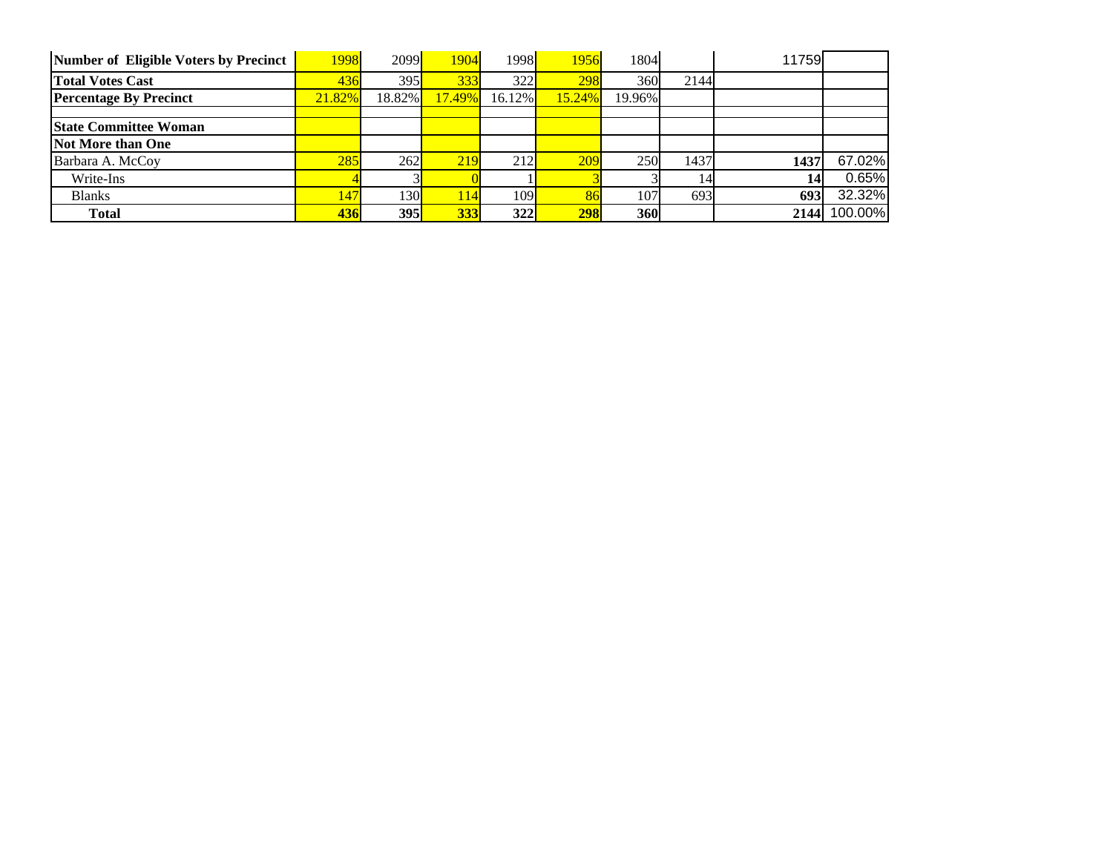| Number of Eligible Voters by Precinct | 1998   | 2099 <sup> </sup> | 1904   | 1998   | 1956   | 1804       |      | 11759 |         |
|---------------------------------------|--------|-------------------|--------|--------|--------|------------|------|-------|---------|
| <b>Total Votes Cast</b>               | 436    | 395               | 333    | 322    | 298    | 360        | 2144 |       |         |
| <b>Percentage By Precinct</b>         | 21.82% | 18.82%            | 17.49% | 16.12% | 15.24% | 19.96%     |      |       |         |
|                                       |        |                   |        |        |        |            |      |       |         |
| <b>State Committee Woman</b>          |        |                   |        |        |        |            |      |       |         |
| Not More than One                     |        |                   |        |        |        |            |      |       |         |
| Barbara A. McCoy                      | 285    | 262               | 219    | 212    | 209    | 250        | 1437 | 1437  | 67.02%  |
| Write-Ins                             |        |                   |        |        |        |            | 14   | 14    | 0.65%   |
| <b>Blanks</b>                         | 147    | 130               | 114    | 109I   | 86     | 107        | 693  | 693   | 32.32%  |
| <b>Total</b>                          | 436    | 395               | 333    | 322    | 298    | <b>360</b> |      | 2144  | 100.00% |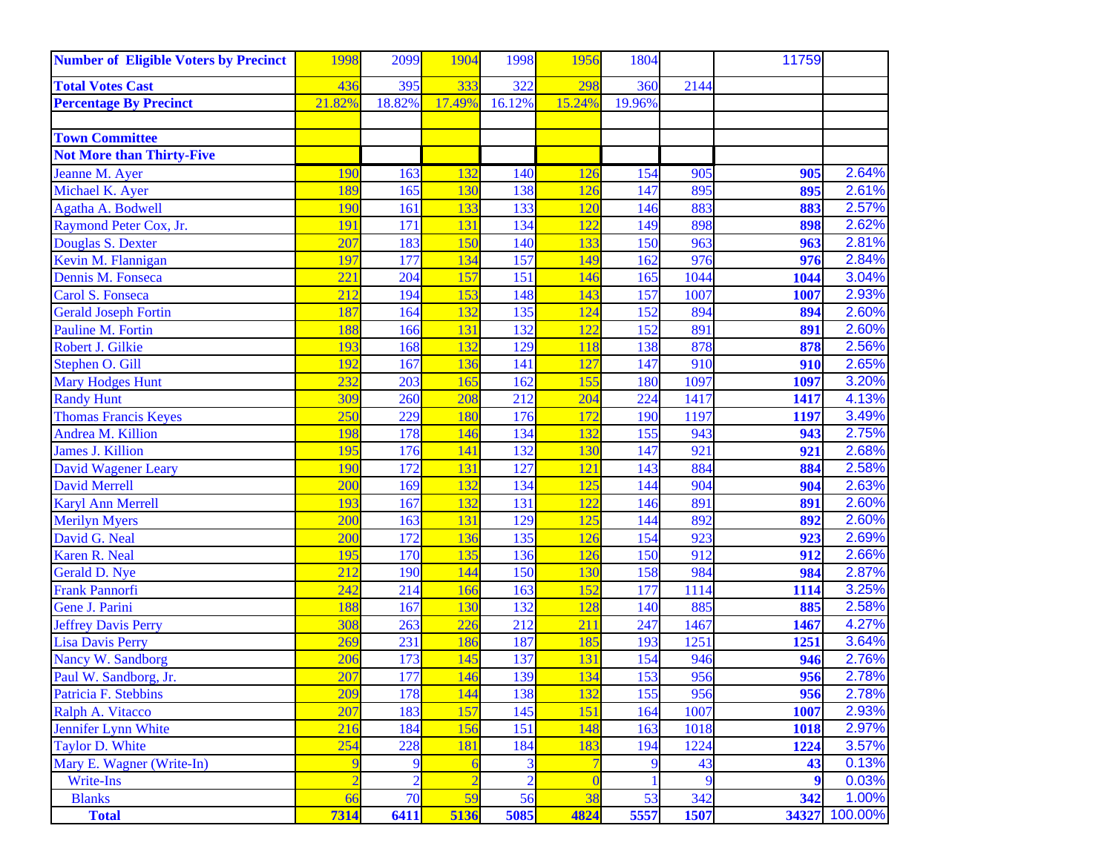| <b>Number of Eligible Voters by Precinct</b> | 1998           | 2099           | 1904           | 1998           | 1956           | 1804   |      | 11759 |         |
|----------------------------------------------|----------------|----------------|----------------|----------------|----------------|--------|------|-------|---------|
| <b>Total Votes Cast</b>                      | 436            | 395            | 333            | 322            | 298            | 360    | 2144 |       |         |
| <b>Percentage By Precinct</b>                | 21.82%         | 18.82%         | 17.49%         | 16.12%         | 15.24%         | 19.96% |      |       |         |
|                                              |                |                |                |                |                |        |      |       |         |
| <b>Town Committee</b>                        |                |                |                |                |                |        |      |       |         |
| <b>Not More than Thirty-Five</b>             |                |                |                |                |                |        |      |       |         |
| Jeanne M. Ayer                               | 190            | 163            | 132            | 140            | 126            | 154    | 905  | 905   | 2.64%   |
| Michael K. Ayer                              | 189            | 165            | 130            | 138            | 126            | 147    | 895  | 895   | 2.61%   |
| Agatha A. Bodwell                            | 190            | 161            | 133            | 133            | 120            | 146    | 883  | 883   | 2.57%   |
| Raymond Peter Cox, Jr.                       | 191            | 171            | 131            | 134            | 122            | 149    | 898  | 898   | 2.62%   |
| Douglas S. Dexter                            | 207            | 183            | 150            | 140            | 133            | 150    | 963  | 963   | 2.81%   |
| Kevin M. Flannigan                           | 197            | 177            | 134            | 157            | 149            | 162    | 976  | 976   | 2.84%   |
| Dennis M. Fonseca                            | 221            | 204            | 157            | 151            | 146            | 165    | 1044 | 1044  | 3.04%   |
| Carol S. Fonseca                             | 212            | 194            | 153            | 148            | 143            | 157    | 1007 | 1007  | 2.93%   |
| <b>Gerald Joseph Fortin</b>                  | 187            | 164            | 132            | 135            | 124            | 152    | 894  | 894   | 2.60%   |
| Pauline M. Fortin                            | 188            | 166            | 131            | 132            | 122            | 152    | 891  | 891   | 2.60%   |
| Robert J. Gilkie                             | 193            | 168            | 132            | 129            | 118            | 138    | 878  | 878   | 2.56%   |
| Stephen O. Gill                              | 192            | 167            | 136            | 141            | 127            | 147    | 910  | 910   | 2.65%   |
| <b>Mary Hodges Hunt</b>                      | 232            | 203            | 165            | 162            | 155            | 180    | 1097 | 1097  | 3.20%   |
| <b>Randy Hunt</b>                            | 309            | 260            | 208            | 212            | 204            | 224    | 1417 | 1417  | 4.13%   |
| <b>Thomas Francis Keyes</b>                  | 250            | 229            | 180            | 176            | 172            | 190    | 1197 | 1197  | 3.49%   |
| Andrea M. Killion                            | 198            | 178            | 146            | 134            | 132            | 155    | 943  | 943   | 2.75%   |
| <b>James J. Killion</b>                      | 195            | 176            | 141            | 132            | 130            | 147    | 921  | 921   | 2.68%   |
| <b>David Wagener Leary</b>                   | 190            | 172            | 131            | 127            | 121            | 143    | 884  | 884   | 2.58%   |
| <b>David Merrell</b>                         | 200            | 169            | 132            | 134            | 125            | 144    | 904  | 904   | 2.63%   |
| <b>Karyl Ann Merrell</b>                     | 193            | 167            | 132            | 131            | 122            | 146    | 891  | 891   | 2.60%   |
| <b>Merilyn Myers</b>                         | 200            | 163            | 131            | 129            | 125            | 144    | 892  | 892   | 2.60%   |
| David G. Neal                                | 200            | 172            | 136            | 135            | 126            | 154    | 923  | 923   | 2.69%   |
| Karen R. Neal                                | 195            | 170            | 135            | 136            | 126            | 150    | 912  | 912   | 2.66%   |
| Gerald D. Nye                                | 212            | 190            | 144            | 150            | 130            | 158    | 984  | 984   | 2.87%   |
| <b>Frank Pannorfi</b>                        | 242            | 214            | 166            | 163            | 152            | 177    | 1114 | 1114  | 3.25%   |
| Gene J. Parini                               | 188            | 167            | 130            | 132            | 128            | 140    | 885  | 885   | 2.58%   |
| <b>Jeffrey Davis Perry</b>                   | 308            | 263            | 226            | 212            | 211            | 247    | 1467 | 1467  | 4.27%   |
| <b>Lisa Davis Perry</b>                      | 269            | 231            | 186            | 187            | 185            | 193    | 1251 | 1251  | 3.64%   |
| Nancy W. Sandborg                            | 206            | 173            | 145            | 137            | 131            | 154    | 946  | 946   | 2.76%   |
| Paul W. Sandborg, Jr.                        | 207            | 177            | 146            | 139            | 134            | 153    | 956  | 956   | 2.78%   |
| Patricia F. Stebbins                         | 209            | 178            | 144            | 138            | 132            | 155    | 956  | 956   | 2.78%   |
| Ralph A. Vitacco                             | 207            | 183            | 157            | 145            | 151            | 164    | 1007 | 1007  | 2.93%   |
| <b>Jennifer Lynn White</b>                   | 216            | 184            | 156            | 151            | 148            | 163    | 1018 | 1018  | 2.97%   |
| <b>Taylor D. White</b>                       | 254            | 228            | 181            | 184            | 183            | 194    | 1224 | 1224  | 3.57%   |
| Mary E. Wagner (Write-In)                    | 9              | 9              | $\epsilon$     | 3              | $\overline{7}$ | 9      | 43   | 43    | 0.13%   |
| Write-Ins                                    | $\overline{2}$ | $\overline{2}$ | $\overline{2}$ | $\overline{2}$ | $\theta$       | -1     | 9    | 9     | 0.03%   |
| <b>Blanks</b>                                | 66             | 70             | 59             | 56             | 38             | 53     | 342  | 342   | 1.00%   |
| <b>Total</b>                                 | 7314           | 6411           | 5136           | 5085           | 4824           | 5557   | 1507 | 34327 | 100.00% |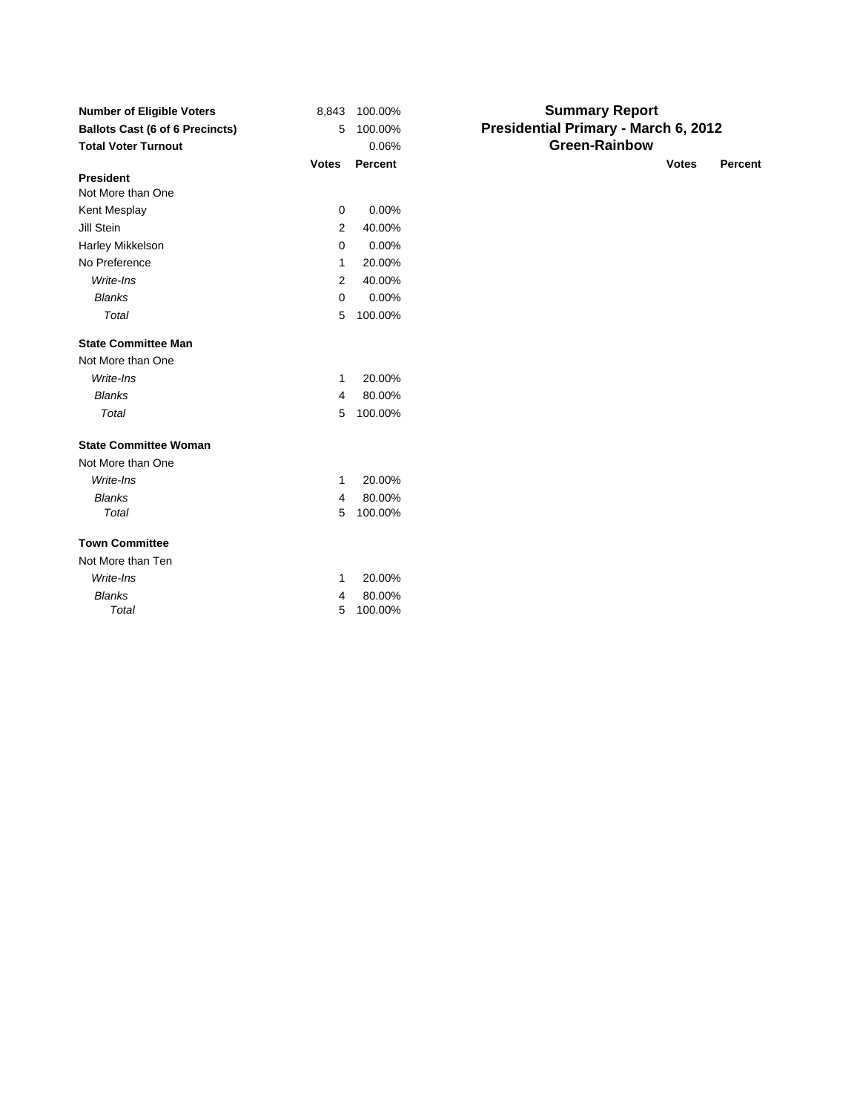| <b>Number of Eligible Voters</b><br><b>Ballots Cast (6 of 6 Precincts)</b> | 8,843<br>5   | 100.00%<br>100.00% | <b>Summary Report</b><br>Presidential Primary - March 6, 2012 |
|----------------------------------------------------------------------------|--------------|--------------------|---------------------------------------------------------------|
| <b>Total Voter Turnout</b>                                                 |              | 0.06%              | <b>Green-Rainbow</b>                                          |
|                                                                            | <b>Votes</b> | <b>Percent</b>     | <b>Votes</b><br><b>Percent</b>                                |
| <b>President</b>                                                           |              |                    |                                                               |
| Not More than One                                                          |              |                    |                                                               |
| Kent Mesplay                                                               | $\mathbf 0$  | 0.00%              |                                                               |
| Jill Stein                                                                 | 2            | 40.00%             |                                                               |
| Harley Mikkelson                                                           | 0            | 0.00%              |                                                               |
| No Preference                                                              | 1            | 20.00%             |                                                               |
| Write-Ins                                                                  | 2            | 40.00%             |                                                               |
| <b>Blanks</b>                                                              | 0            | 0.00%              |                                                               |
| Total                                                                      | 5            | 100.00%            |                                                               |
| <b>State Committee Man</b>                                                 |              |                    |                                                               |
| Not More than One                                                          |              |                    |                                                               |
| Write-Ins                                                                  | 1            | 20.00%             |                                                               |
| <b>Blanks</b>                                                              | 4            | 80.00%             |                                                               |
| <b>Total</b>                                                               | 5            | 100.00%            |                                                               |
| <b>State Committee Woman</b>                                               |              |                    |                                                               |
| Not More than One                                                          |              |                    |                                                               |
| Write-Ins                                                                  | 1            | 20.00%             |                                                               |
| <b>Blanks</b>                                                              | 4            | 80.00%             |                                                               |
| Total                                                                      | 5            | 100.00%            |                                                               |
| <b>Town Committee</b>                                                      |              |                    |                                                               |
| Not More than Ten                                                          |              |                    |                                                               |
| Write-Ins                                                                  | 1            | 20.00%             |                                                               |
| <b>Blanks</b>                                                              | 4            | 80.00%             |                                                               |
| Total                                                                      | 5            | 100.00%            |                                                               |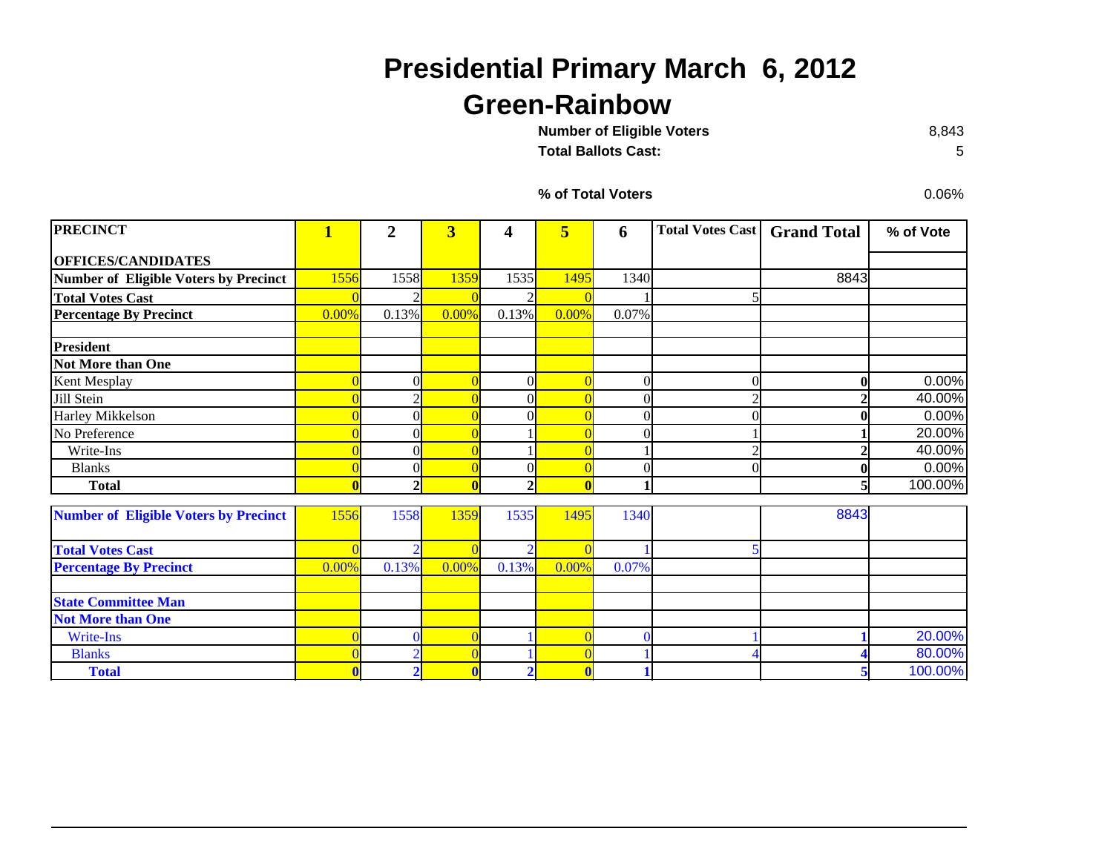## **Presidential Primary March 6, 2012 Green-Rainbow**

**Number of Eligible Voters** 

**Total Ballots Cast:**

8,843 5

**% of Total Voters**

0.06%

| <b>PRECINCT</b>                              | $\overline{\mathbf{1}}$ | $\overline{2}$ | $\overline{\mathbf{3}}$ | 4            | $\overline{\mathbf{5}}$ | 6              | <b>Total Votes Cast</b> | <b>Grand Total</b> | % of Vote |
|----------------------------------------------|-------------------------|----------------|-------------------------|--------------|-------------------------|----------------|-------------------------|--------------------|-----------|
| <b>OFFICES/CANDIDATES</b>                    |                         |                |                         |              |                         |                |                         |                    |           |
| <b>Number of Eligible Voters by Precinct</b> | 1556                    | 1558           | 1359                    | 1535         | 1495                    | 1340           |                         | 8843               |           |
|                                              |                         |                |                         |              |                         |                |                         |                    |           |
| <b>Total Votes Cast</b>                      |                         |                |                         |              |                         |                |                         |                    |           |
| <b>Percentage By Precinct</b>                | 0.00%                   | 0.13%          | 0.00%                   | 0.13%        | 0.00%                   | 0.07%          |                         |                    |           |
| <b>President</b>                             |                         |                |                         |              |                         |                |                         |                    |           |
| Not More than One                            |                         |                |                         |              |                         |                |                         |                    |           |
| Kent Mesplay                                 |                         |                | $\overline{0}$          | $\Omega$     |                         | $\overline{0}$ |                         | 0                  | 0.00%     |
| Jill Stein                                   |                         |                |                         |              |                         | $\Omega$       |                         |                    | 40.00%    |
| Harley Mikkelson                             |                         |                |                         |              |                         | $\theta$       |                         | 0                  | 0.00%     |
| No Preference                                |                         |                | $\overline{0}$          |              |                         | $\Omega$       |                         |                    | 20.00%    |
| Write-Ins                                    |                         |                |                         |              |                         |                |                         |                    | 40.00%    |
| <b>Blanks</b>                                |                         |                |                         | 0            |                         | $\Omega$       |                         | $\bf{0}$           | 0.00%     |
| <b>Total</b>                                 |                         |                | $\mathbf{0}$            | $\mathbf{2}$ |                         |                |                         | 5                  | 100.00%   |
|                                              | 1556                    |                | 1359                    |              |                         |                |                         | 8843               |           |
| <b>Number of Eligible Voters by Precinct</b> |                         | 1558           |                         | 1535         | 1495                    | 1340           |                         |                    |           |
| <b>Total Votes Cast</b>                      |                         |                |                         |              |                         |                |                         |                    |           |
| <b>Percentage By Precinct</b>                | 0.00%                   | 0.13%          | 0.00%                   | 0.13%        | 0.00%                   | 0.07%          |                         |                    |           |
|                                              |                         |                |                         |              |                         |                |                         |                    |           |
| <b>State Committee Man</b>                   |                         |                |                         |              |                         |                |                         |                    |           |
| <b>Not More than One</b>                     |                         |                |                         |              |                         |                |                         |                    |           |
| Write-Ins                                    |                         |                |                         |              |                         | $\Omega$       |                         |                    | 20.00%    |
| <b>Blanks</b>                                |                         |                |                         |              |                         |                |                         |                    | 80.00%    |
| <b>Total</b>                                 |                         |                |                         |              |                         |                |                         |                    | 100.00%   |